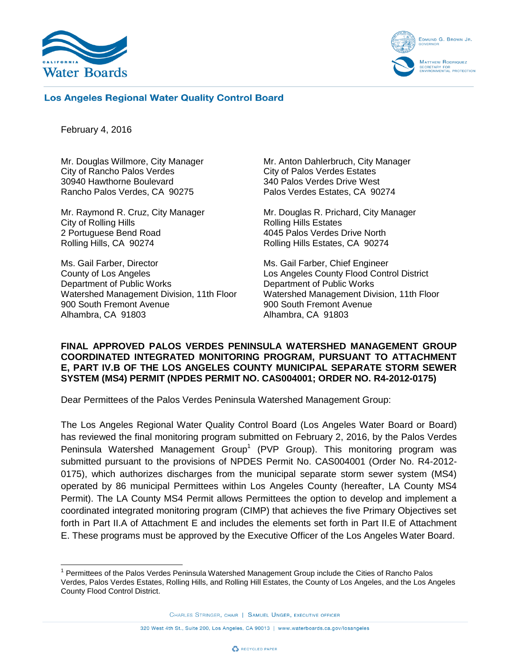



## **Los Angeles Regional Water Quality Control Board**

February 4, 2016

 $\overline{a}$ 

Mr. Douglas Willmore, City Manager City of Rancho Palos Verdes 30940 Hawthorne Boulevard Rancho Palos Verdes, CA 90275

Mr. Raymond R. Cruz, City Manager City of Rolling Hills 2 Portuguese Bend Road Rolling Hills, CA 90274

Ms. Gail Farber, Director County of Los Angeles Department of Public Works Watershed Management Division, 11th Floor 900 South Fremont Avenue Alhambra, CA 91803

Mr. Anton Dahlerbruch, City Manager City of Palos Verdes Estates 340 Palos Verdes Drive West Palos Verdes Estates, CA 90274

Mr. Douglas R. Prichard, City Manager Rolling Hills Estates 4045 Palos Verdes Drive North Rolling Hills Estates, CA 90274

Ms. Gail Farber, Chief Engineer Los Angeles County Flood Control District Department of Public Works Watershed Management Division, 11th Floor 900 South Fremont Avenue Alhambra, CA 91803

## **FINAL APPROVED PALOS VERDES PENINSULA WATERSHED MANAGEMENT GROUP COORDINATED INTEGRATED MONITORING PROGRAM, PURSUANT TO ATTACHMENT E, PART IV.B OF THE LOS ANGELES COUNTY MUNICIPAL SEPARATE STORM SEWER SYSTEM (MS4) PERMIT (NPDES PERMIT NO. CAS004001; ORDER NO. R4-2012-0175)**

Dear Permittees of the Palos Verdes Peninsula Watershed Management Group:

The Los Angeles Regional Water Quality Control Board (Los Angeles Water Board or Board) has reviewed the final monitoring program submitted on February 2, 2016, by the Palos Verdes Peninsula Watershed Management Group<sup>1</sup> (PVP Group). This monitoring program was submitted pursuant to the provisions of NPDES Permit No. CAS004001 (Order No. R4-2012- 0175), which authorizes discharges from the municipal separate storm sewer system (MS4) operated by 86 municipal Permittees within Los Angeles County (hereafter, LA County MS4 Permit). The LA County MS4 Permit allows Permittees the option to develop and implement a coordinated integrated monitoring program (CIMP) that achieves the five Primary Objectives set forth in Part II.A of Attachment E and includes the elements set forth in Part II.E of Attachment E. These programs must be approved by the Executive Officer of the Los Angeles Water Board.

<sup>&</sup>lt;sup>1</sup> Permittees of the Palos Verdes Peninsula Watershed Management Group include the Cities of Rancho Palos Verdes, Palos Verdes Estates, Rolling Hills, and Rolling Hill Estates, the County of Los Angeles, and the Los Angeles County Flood Control District.

CHARLES STRINGER, CHAIR | SAMUEL UNGER, EXECUTIVE OFFICER